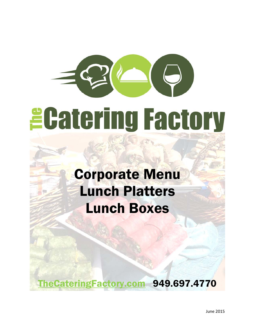# *<u>ECatering Factory</u>*

## Corporate Menu Lunch Platters Lunch Boxes

TheCateringFactory.com 949.697.4770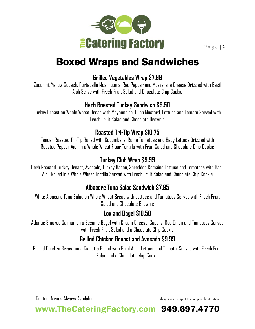

## Boxed Wraps and Sandwiches

#### **Grilled Vegetables Wrap \$7.99**

Zucchini, Yellow Squash, Portabella Mushrooms, Red Pepper and Mozzarella Cheese Drizzled with Basil Aioli Serve with Fresh Fruit Salad and Chocolate Chip Cookie

#### **Herb Roasted Turkey Sandwich \$9.50**

Turkey Breast on Whole Wheat Bread with Mayonnaise, Dijon Mustard, Lettuce and Tomato Served with Fresh Fruit Salad and Chocolate Brownie

#### **Roasted Tri-Tip Wrap \$10.75**

Tender Roasted Tri-Tip Rolled with Cucumbers, Roma Tomatoes and Baby Lettuce Drizzled with Roasted Pepper Aioli in a Whole Wheat Flour Tortilla with Fruit Salad and Chocolate Chip Cookie

#### **Turkey Club Wrap \$9.99**

Herb Roasted Turkey Breast, Avocado, Turkey Bacon, Shredded Romaine Lettuce and Tomatoes with Basil Aioli Rolled in a Whole Wheat Tortilla Served with Fresh Fruit Salad and Chocolate Chip Cookie

#### **Albacore Tuna Salad Sandwich \$7.95**

White Albacore Tuna Salad on Whole Wheat Bread with Lettuce and Tomatoes Served with Fresh Fruit Salad and Chocolate Brownie

#### **Lox and Bagel \$10.50**

Atlantic Smoked Salmon on a Sesame Bagel with Cream Cheese, Capers, Red Onion and Tomatoes Served with Fresh Fruit Salad and a Chocolate Chip Cookie

#### **Grilled Chicken Breast and Avocado \$9.99**

Grilled Chicken Breast on a Ciabatta Bread with Basil Aioli, Lettuce and Tomato, Served with Fresh Fruit Salad and a Chocolate chip Cookie

Custom Menus Always Available Menu prices subject to change without notice

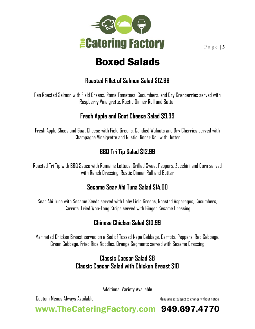

## Boxed Salads

#### **Roasted Fillet of Salmon Salad \$12.99**

Pan Roasted Salmon with Field Greens, Roma Tomatoes, Cucumbers, and Dry Cranberries served with Raspberry Vinaigrette, Rustic Dinner Roll and Butter

#### **Fresh Apple and Goat Cheese Salad \$9.99**

Fresh Apple Slices and Goat Cheese with Field Greens, Candied Walnuts and Dry Cherries served with Champagne Vinaigrette and Rustic Dinner Roll with Butter

#### **BBQ Tri Tip Salad \$12.99**

Roasted Tri Tip with BBQ Sauce with Romaine Lettuce, Grilled Sweet Peppers, Zucchini and Corn served with Ranch Dressing, Rustic Dinner Roll and Butter

#### **Sesame Sear Ahi Tuna Salad \$14.00**

Sear Ahi Tuna with Sesame Seeds served with Baby Field Greens, Roasted Asparagus, Cucumbers, Carrots, Fried Won-Tong Strips served with Ginger Sesame Dressing

#### **Chinese Chicken Salad \$10.99**

Marinated Chicken Breast served on a Bed of Tossed Napa Cabbage, Carrots, Peppers, Red Cabbage, Green Cabbage, Fried Rice Noodles, Orange Segments served with Sesame Dressing

#### **Classic Caesar Salad \$8 Classic Caesar Salad with Chicken Breast \$10**

Additional Variety Available

Custom Menus Always Available Menu prices subject to change without notice

www.TheCateringFactory.com 949.697.4770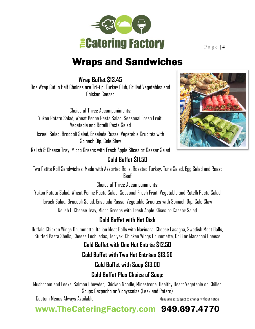

## Wraps and Sandwiches

**Wrap Buffet \$13.45** 

One Wrap Cut in Half Choices are Tri-tip, Turkey Club, Grilled Vegetables and Chicken Caesar

Choice of Three Accompaniments: Yukon Potato Salad, Wheat Penne Pasta Salad, Seasonal Fresh Fruit, Vegetable and Rotelli Pasta Salad

Israeli Salad, Broccoli Salad, Ensalada Russa, Vegetable Crudités with Spinach Dip, Cole Slaw

Relish & Cheese Tray, Micro Greens with Fresh Apple Slices or Caesar Salad

#### **Cold Buffet \$11.50**

Two Petite Roll Sandwiches, Made with Assorted Rolls, Roasted Turkey, Tuna Salad, Egg Salad and Roast Beef

Choice of Three Accompaniments:

Yukon Potato Salad, Wheat Penne Pasta Salad, Seasonal Fresh Fruit, Vegetable and Rotelli Pasta Salad

Israeli Salad, Broccoli Salad, Ensalada Russa, Vegetable Crudités with Spinach Dip, Cole Slaw

Relish & Cheese Tray, Micro Greens with Fresh Apple Slices or Caesar Salad

#### **Cold Buffet with Hot Dish**

Buffalo Chicken Wings Drummette, Italian Meat Balls with Marinara, Cheese Lasagna, Swedish Meat Balls, Stuffed Pasta Shells, Cheese Enchiladas, Teriyaki Chicken Wings Drummette, Chili or Macaroni Cheese

**Cold Buffet with One Hot Entrée \$12.50** 

#### **Cold Buffet with Two Hot Entrées \$13.50**

#### **Cold Buffet with Soup \$13.00**

#### **Cold Buffet Plus Choice of Soup:**

Mushroom and Leeks, Salmon Chowder, Chicken Noodle, Minestrone, Healthy Heart Vegetable or Chilled Soups Gazpacho or Vichyssoise (Leek and Potato)

Custom Menus Always Available Menu prices subject to change without notice

### www.TheCateringFactory.com 949.697.4770

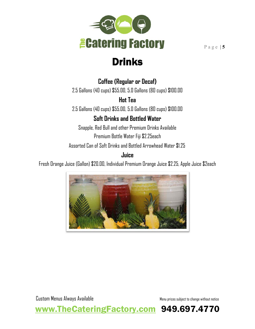

Drinks

#### **Coffee (Regular or Decaf)**

2.5 Gallons (40 cups) \$55.00, 5.0 Gallons (80 cups) \$100.00

**Hot Tea**

2.5 Gallons (40 cups) \$55.00, 5.0 Gallons (80 cups) \$100.00

#### **Soft Drinks and Bottled Water**

Snapple, Red Bull and other Premium Drinks Available Premium Bottle Water Fiji \$2.25each

Assorted Can of Soft Drinks and Bottled Arrowhead Water \$1.25

#### **Juice**

Fresh Orange Juice (Gallon) \$20.00, Individual Premium Orange Juice \$2.25, Apple Juice \$2each



www.TheCateringFactory.com 949.697.4770

Custom Menus Always Available Menu prices subject to change without notice